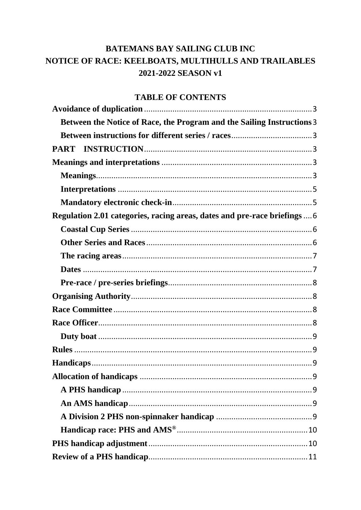# **BATEMANS BAY SAILING CLUB INC** NOTICE OF RACE: KEELBOATS, MULTIHULLS AND TRAILABLES 2021-2022 SEASON v1

## **TABLE OF CONTENTS**

| Between the Notice of Race, the Program and the Sailing Instructions 3    |  |
|---------------------------------------------------------------------------|--|
|                                                                           |  |
|                                                                           |  |
|                                                                           |  |
|                                                                           |  |
|                                                                           |  |
|                                                                           |  |
| Regulation 2.01 categories, racing areas, dates and pre-race briefings  6 |  |
|                                                                           |  |
|                                                                           |  |
|                                                                           |  |
|                                                                           |  |
|                                                                           |  |
|                                                                           |  |
|                                                                           |  |
|                                                                           |  |
|                                                                           |  |
|                                                                           |  |
|                                                                           |  |
| . 9                                                                       |  |
|                                                                           |  |
|                                                                           |  |
|                                                                           |  |
|                                                                           |  |
|                                                                           |  |
|                                                                           |  |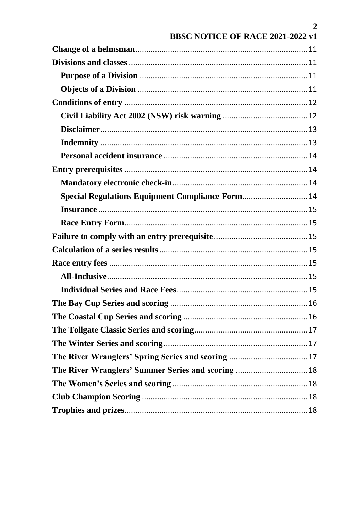|                                                    | $\overline{2}$ |
|----------------------------------------------------|----------------|
| BBSC NOTICE OF RACE 2021-2022 v1                   |                |
|                                                    |                |
|                                                    |                |
|                                                    |                |
|                                                    |                |
|                                                    |                |
|                                                    |                |
|                                                    |                |
|                                                    |                |
|                                                    |                |
|                                                    |                |
|                                                    |                |
| Special Regulations Equipment Compliance Form 14   |                |
|                                                    |                |
|                                                    |                |
|                                                    |                |
|                                                    |                |
|                                                    |                |
|                                                    |                |
|                                                    |                |
|                                                    |                |
|                                                    |                |
|                                                    |                |
|                                                    |                |
| The River Wranglers' Spring Series and scoring  17 |                |
|                                                    |                |
|                                                    |                |
|                                                    |                |
|                                                    |                |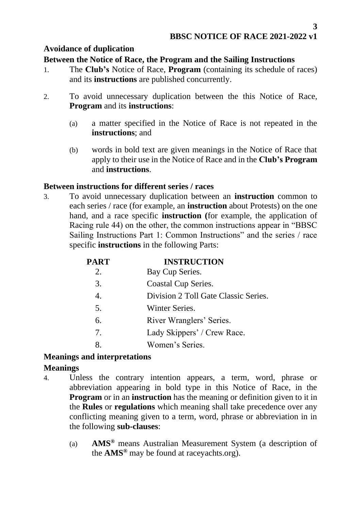## <span id="page-2-0"></span>**Avoidance of duplication**

### <span id="page-2-1"></span>**Between the Notice of Race, the Program and the Sailing Instructions**

- 1. The **Club's** Notice of Race, **Program** (containing its schedule of races) and its **instructions** are published concurrently.
- 2. To avoid unnecessary duplication between the this Notice of Race, **Program** and its **instructions**:
	- (a) a matter specified in the Notice of Race is not repeated in the **instructions**; and
	- (b) words in bold text are given meanings in the Notice of Race that apply to their use in the Notice of Race and in the **Club's Program** and **instructions**.

## <span id="page-2-2"></span>**Between instructions for different series / races**

3. To avoid unnecessary duplication between an **instruction** common to each series / race (for example, an **instruction** about Protests) on the one hand, and a race specific **instruction (**for example, the application of Racing rule 44) on the other, the common instructions appear in "BBSC Sailing Instructions Part 1: Common Instructions" and the series / race specific **instructions** in the following Parts:

<span id="page-2-3"></span>

| PART             | <b>INSTRUCTION</b>                   |
|------------------|--------------------------------------|
| 2.               | Bay Cup Series.                      |
| 3.               | <b>Coastal Cup Series.</b>           |
| $\overline{4}$ . | Division 2 Toll Gate Classic Series. |
| 5.               | Winter Series.                       |
| 6.               | River Wranglers' Series.             |
| 7.               | Lady Skippers' / Crew Race.          |
| 8.               | Women's Series.                      |
|                  |                                      |

## <span id="page-2-4"></span>**Meanings and interpretations**

## <span id="page-2-5"></span>**Meanings**

- 4. Unless the contrary intention appears, a term, word, phrase or abbreviation appearing in bold type in this Notice of Race, in the **Program** or in an **instruction** has the meaning or definition given to it in the **Rules** or **regulations** which meaning shall take precedence over any conflicting meaning given to a term, word, phrase or abbreviation in in the following **sub-clauses**:
	- (a) **AMS®** means Australian Measurement System (a description of the **AMS®** may be found at raceyachts.org).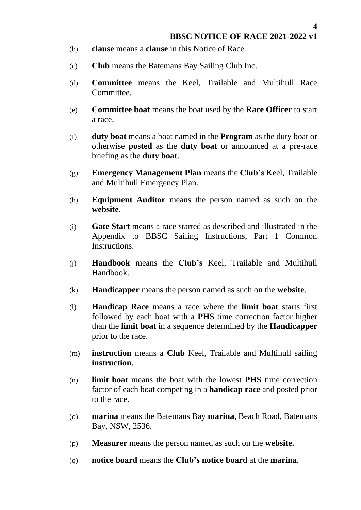**4**

- (b) **clause** means a **clause** in this Notice of Race.
- (c) **Club** means the Batemans Bay Sailing Club Inc.
- (d) **Committee** means the Keel, Trailable and Multihull Race Committee.
- (e) **Committee boat** means the boat used by the **Race Officer** to start a race.
- (f) **duty boat** means a boat named in the **Program** as the duty boat or otherwise **posted** as the **duty boat** or announced at a pre-race briefing as the **duty boat**.
- (g) **Emergency Management Plan** means the **Club's** Keel, Trailable and Multihull Emergency Plan.
- (h) **Equipment Auditor** means the person named as such on the **website**.
- (i) **Gate Start** means a race started as described and illustrated in the Appendix to BBSC Sailing Instructions, Part 1 Common Instructions.
- (j) **Handbook** means the **Club's** Keel, Trailable and Multihull Handbook.
- (k) **Handicapper** means the person named as such on the **website**.
- (l) **Handicap Race** means a race where the **limit boat** starts first followed by each boat with a **PHS** time correction factor higher than the **limit boat** in a sequence determined by the **Handicapper** prior to the race.
- (m) **instruction** means a **Club** Keel, Trailable and Multihull sailing **instruction**.
- (n) **limit boat** means the boat with the lowest **PHS** time correction factor of each boat competing in a **handicap race** and posted prior to the race.
- (o) **marina** means the Batemans Bay **marina**, Beach Road, Batemans Bay, NSW, 2536.
- (p) **Measurer** means the person named as such on the **website.**
- (q) **notice board** means the **Club's notice board** at the **marina**.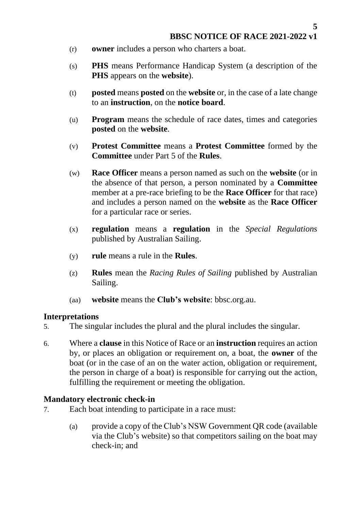- (r) **owner** includes a person who charters a boat.
- (s) **PHS** means Performance Handicap System (a description of the **PHS** appears on the **website**).
- (t) **posted** means **posted** on the **website** or, in the case of a late change to an **instruction**, on the **notice board**.
- (u) **Program** means the schedule of race dates, times and categories **posted** on the **website**.
- (v) **Protest Committee** means a **Protest Committee** formed by the **Committee** under Part 5 of the **Rules**.
- (w) **Race Officer** means a person named as such on the **website** (or in the absence of that person, a person nominated by a **Committee** member at a pre-race briefing to be the **Race Officer** for that race) and includes a person named on the **website** as the **Race Officer** for a particular race or series.
- (x) **regulation** means a **regulation** in the *Special Regulations*  published by Australian Sailing.
- (y) **rule** means a rule in the **Rules**.
- (z) **Rules** mean the *Racing Rules of Sailing* published by Australian Sailing.
- (aa) **website** means the **Club's website**: [bbsc.org.au.](http://www.bbsc.org.au/)

#### <span id="page-4-0"></span>**Interpretations**

- 5. The singular includes the plural and the plural includes the singular.
- 6. Where a **clause** in this Notice of Race or an **instruction** requires an action by, or places an obligation or requirement on, a boat, the **owner** of the boat (or in the case of an on the water action, obligation or requirement, the person in charge of a boat) is responsible for carrying out the action, fulfilling the requirement or meeting the obligation.

### <span id="page-4-1"></span>**Mandatory electronic check-in**

- 7. Each boat intending to participate in a race must:
	- (a) provide a copy of the Club's NSW Government QR code (available via the Club's website) so that competitors sailing on the boat may check-in; and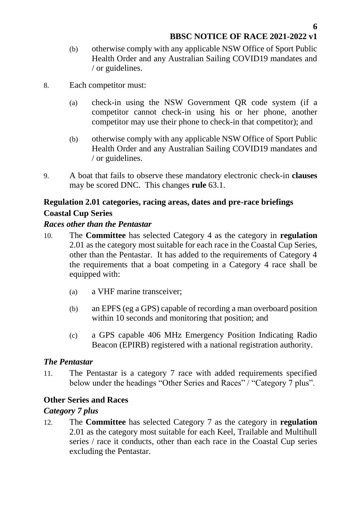- (b) otherwise comply with any applicable NSW Office of Sport Public Health Order and any Australian Sailing COVID19 mandates and / or guidelines.
- 8. Each competitor must:
	- (a) check-in using the NSW Government QR code system (if a competitor [cannot check-in using his or her](https://www.nsw.gov.au/covid-19/rules/check-in/troubleshooting) phone, another competitor may use their phone to check-in that competitor); and
	- (b) otherwise comply with any applicable NSW Office of Sport Public Health Order and any Australian Sailing COVID19 mandates and / or guidelines.
- 9. A boat that fails to observe these mandatory electronic check-in **clauses** may be scored DNC. This changes **rule** 63.1.

### <span id="page-5-1"></span><span id="page-5-0"></span>**Regulation 2.01 categories, racing areas, dates and pre-race briefings Coastal Cup Series**

#### *Races other than the Pentastar*

- 10. The **Committee** has selected Category 4 as the category in **regulation** 2.01 as the category most suitable for each race in the Coastal Cup Series, other than the Pentastar. It has added to the requirements of Category 4 the requirements that a boat competing in a Category 4 race shall be equipped with:
	- (a) a VHF marine transceiver;
	- (b) an EPFS (eg a GPS) capable of recording a man overboard position within 10 seconds and monitoring that position; and
	- (c) a GPS capable 406 MHz Emergency Position Indicating Radio Beacon (EPIRB) registered with a national registration authority.

### *The Pentastar*

11. The Pentastar is a category 7 race with added requirements specified below under the headings "Other Series and Races" / "Category 7 plus".

### <span id="page-5-2"></span>**Other Series and Races**

#### *Category 7 plus*

12. The **Committee** has selected Category 7 as the category in **regulation** 2.01 as the category most suitable for each Keel, Trailable and Multihull series / race it conducts, other than each race in the Coastal Cup series excluding the Pentastar.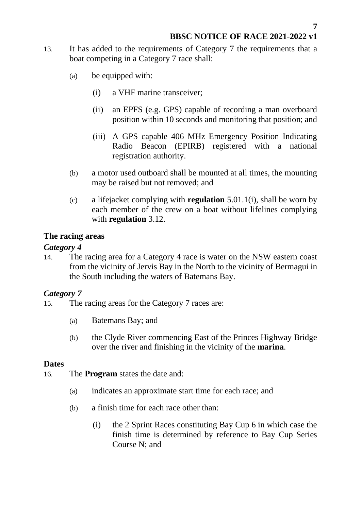- 13. It has added to the requirements of Category 7 the requirements that a boat competing in a Category 7 race shall:
	- (a) be equipped with:
		- (i) a VHF marine transceiver;
		- (ii) an EPFS (e.g. GPS) capable of recording a man overboard position within 10 seconds and monitoring that position; and
		- (iii) A GPS capable 406 MHz Emergency Position Indicating Radio Beacon (EPIRB) registered with a national registration authority.
	- (b) a motor used outboard shall be mounted at all times, the mounting may be raised but not removed; and
	- (c) a lifejacket complying with **regulation** 5.01.1(i), shall be worn by each member of the crew on a boat without lifelines complying with **regulation** 3.12.

### <span id="page-6-0"></span>**The racing areas**

### *Category 4*

14. The racing area for a Category 4 race is water on the NSW eastern coast from the vicinity of Jervis Bay in the North to the vicinity of Bermagui in the South including the waters of Batemans Bay.

## *Category 7*

- 15. The racing areas for the Category 7 races are:
	- (a) Batemans Bay; and
	- (b) the Clyde River commencing East of the Princes Highway Bridge over the river and finishing in the vicinity of the **marina**.

### <span id="page-6-1"></span>**Dates**

- 16. The **Program** states the date and:
	- (a) indicates an approximate start time for each race; and
	- (b) a finish time for each race other than:
		- (i) the 2 Sprint Races constituting Bay Cup 6 in which case the finish time is determined by reference to Bay Cup Series Course N; and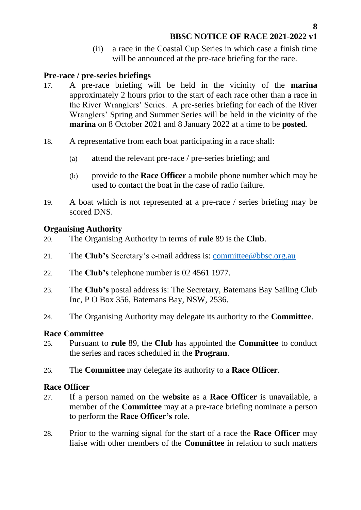(ii) a race in the Coastal Cup Series in which case a finish time will be announced at the pre-race briefing for the race.

#### <span id="page-7-0"></span>**Pre-race / pre-series briefings**

- 17. A pre-race briefing will be held in the vicinity of the **marina** approximately 2 hours prior to the start of each race other than a race in the River Wranglers' Series. A pre-series briefing for each of the River Wranglers' Spring and Summer Series will be held in the vicinity of the **marina** on 8 October 2021 and 8 January 2022 at a time to be **posted**.
- 18. A representative from each boat participating in a race shall:
	- (a) attend the relevant pre-race / pre-series briefing; and
	- (b) provide to the **Race Officer** a mobile phone number which may be used to contact the boat in the case of radio failure.
- 19. A boat which is not represented at a pre-race / series briefing may be scored DNS.

#### <span id="page-7-1"></span>**Organising Authority**

- 20. The Organising Authority in terms of **rule** 89 is the **Club**.
- 21. The **Club's** Secretary's e-mail address is: [committee@bbsc.org.au](mailto:committee@bbsc.org.au)
- 22. The **Club's** telephone number is 02 4561 1977.
- 23. The **Club's** postal address is: The Secretary, Batemans Bay Sailing Club Inc, P O Box 356, Batemans Bay, NSW, 2536.
- 24. The Organising Authority may delegate its authority to the **Committee**.

### <span id="page-7-2"></span>**Race Committee**

- 25. Pursuant to **rule** 89, the **Club** has appointed the **Committee** to conduct the series and races scheduled in the **Program**.
- 26. The **Committee** may delegate its authority to a **Race Officer**.

#### <span id="page-7-3"></span>**Race Officer**

- 27. If a person named on the **website** as a **Race Officer** is unavailable, a member of the **Committee** may at a pre-race briefing nominate a person to perform the **Race Officer's** role.
- 28. Prior to the warning signal for the start of a race the **Race Officer** may liaise with other members of the **Committee** in relation to such matters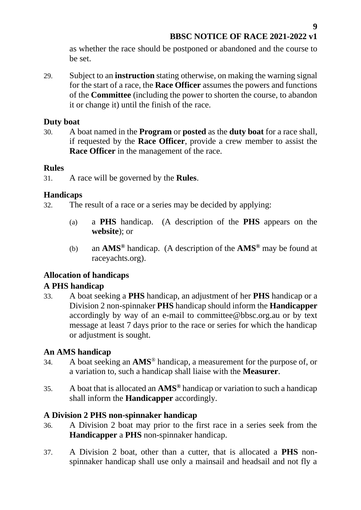as whether the race should be postponed or abandoned and the course to be set.

29. Subject to an **instruction** stating otherwise, on making the warning signal for the start of a race, the **Race Officer** assumes the powers and functions of the **Committee** (including the power to shorten the course, to abandon it or change it) until the finish of the race.

#### <span id="page-8-0"></span>**Duty boat**

30. A boat named in the **Program** or **posted** as the **duty boat** for a race shall, if requested by the **Race Officer**, provide a crew member to assist the **Race Officer** in the management of the race.

#### <span id="page-8-1"></span>**Rules**

31. A race will be governed by the **Rules**.

### <span id="page-8-2"></span>**Handicaps**

32. The result of a race or a series may be decided by applying:

- (a) a **PHS** handicap. (A description of the **PHS** appears on the **website**); or
- (b) an **AMS®** handicap. (A description of the **AMS®** may be found at raceyachts.org).

## <span id="page-8-3"></span>**Allocation of handicaps**

### <span id="page-8-4"></span>**A PHS handicap**

33. A boat seeking a **PHS** handicap, an adjustment of her **PHS** handicap or a Division 2 non-spinnaker **PHS** handicap should inform the **Handicapper** accordingly by way of an e-mail to committee@bbsc.org.au or by text message at least 7 days prior to the race or series for which the handicap or adjustment is sought.

### <span id="page-8-5"></span>**An AMS handicap**

- 34. A boat seeking an **AMS**® handicap, a measurement for the purpose of, or a variation to, such a handicap shall liaise with the **Measurer**.
- 35. A boat that is allocated an **AMS®** handicap or variation to such a handicap shall inform the **Handicapper** accordingly.

### <span id="page-8-6"></span>**A Division 2 PHS non-spinnaker handicap**

- 36. A Division 2 boat may prior to the first race in a series seek from the **Handicapper** a **PHS** non-spinnaker handicap.
- 37. A Division 2 boat, other than a cutter, that is allocated a **PHS** nonspinnaker handicap shall use only a mainsail and headsail and not fly a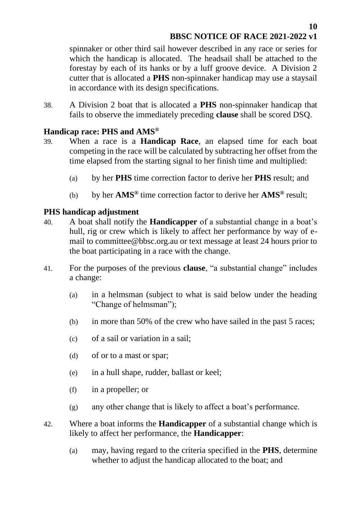spinnaker or other third sail however described in any race or series for which the handicap is allocated. The headsail shall be attached to the forestay by each of its hanks or by a luff groove device. A Division 2 cutter that is allocated a **PHS** non-spinnaker handicap may use a staysail in accordance with its design specifications.

38. A Division 2 boat that is allocated a **PHS** non-spinnaker handicap that fails to observe the immediately preceding **clause** shall be scored DSQ.

### <span id="page-9-0"></span>**Handicap race: PHS and AMS®**

- 39. When a race is a **Handicap Race**, an elapsed time for each boat competing in the race will be calculated by subtracting her offset from the time elapsed from the starting signal to her finish time and multiplied:
	- (a) by her **PHS** time correction factor to derive her **PHS** result; and
	- (b) by her **AMS®** time correction factor to derive her **AMS®** result;

### <span id="page-9-1"></span>**PHS handicap adjustment**

- 40. A boat shall notify the **Handicapper** of a substantial change in a boat's hull, rig or crew which is likely to affect her performance by way of email to committee@bbsc.org.au or text message at least 24 hours prior to the boat participating in a race with the change.
- 41. For the purposes of the previous **clause**, "a substantial change" includes a change:
	- (a) in a helmsman (subject to what is said below under the heading "Change of helmsman");
	- (b) in more than 50% of the crew who have sailed in the past 5 races;
	- (c) of a sail or variation in a sail;
	- (d) of or to a mast or spar;
	- (e) in a hull shape, rudder, ballast or keel;
	- (f) in a propeller; or
	- (g) any other change that is likely to affect a boat's performance.
- 42. Where a boat informs the **Handicapper** of a substantial change which is likely to affect her performance, the **Handicapper**:
	- (a) may, having regard to the criteria specified in the **PHS**, determine whether to adjust the handicap allocated to the boat; and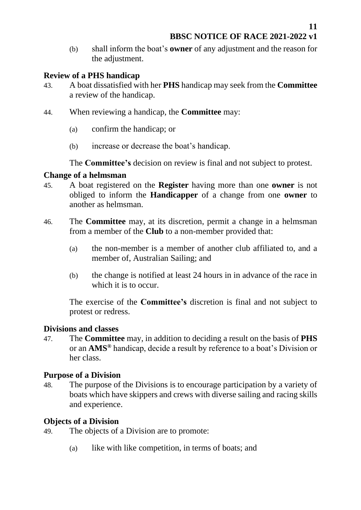(b) shall inform the boat's **owner** of any adjustment and the reason for the adjustment.

### <span id="page-10-0"></span>**Review of a PHS handicap**

- 43. A boat dissatisfied with her **PHS** handicap may seek from the **Committee** a review of the handicap.
- 44. When reviewing a handicap, the **Committee** may:
	- (a) confirm the handicap; or
	- (b) increase or decrease the boat's handicap.

The **Committee's** decision on review is final and not subject to protest.

## <span id="page-10-1"></span>**Change of a helmsman**

- 45. A boat registered on the **Register** having more than one **owner** is not obliged to inform the **Handicapper** of a change from one **owner** to another as helmsman.
- 46. The **Committee** may, at its discretion, permit a change in a helmsman from a member of the **Club** to a non-member provided that:
	- (a) the non-member is a member of another club affiliated to, and a member of, Australian Sailing; and
	- (b) the change is notified at least 24 hours in in advance of the race in which it is to occur.

The exercise of the **Committee's** discretion is final and not subject to protest or redress.

## <span id="page-10-2"></span>**Divisions and classes**

47. The **Committee** may, in addition to deciding a result on the basis of **PHS** or an **AMS®** handicap, decide a result by reference to a boat's Division or her class.

## <span id="page-10-3"></span>**Purpose of a Division**

48. The purpose of the Divisions is to encourage participation by a variety of boats which have skippers and crews with diverse sailing and racing skills and experience.

## <span id="page-10-4"></span>**Objects of a Division**

- 49. The objects of a Division are to promote:
	- (a) like with like competition, in terms of boats; and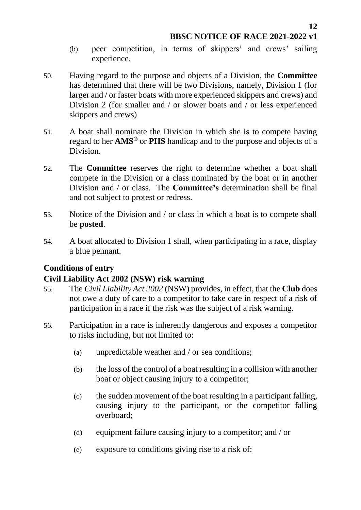- (b) peer competition, in terms of skippers' and crews' sailing experience.
- 50. Having regard to the purpose and objects of a Division, the **Committee**  has determined that there will be two Divisions, namely, Division 1 (for larger and / or faster boats with more experienced skippers and crews) and Division 2 (for smaller and / or slower boats and / or less experienced skippers and crews)
- 51. A boat shall nominate the Division in which she is to compete having regard to her **AMS®** or **PHS** handicap and to the purpose and objects of a Division.
- 52. The **Committee** reserves the right to determine whether a boat shall compete in the Division or a class nominated by the boat or in another Division and / or class. The **Committee's** determination shall be final and not subject to protest or redress.
- 53. Notice of the Division and / or class in which a boat is to compete shall be **posted**.
- 54. A boat allocated to Division 1 shall, when participating in a race, display a blue pennant.

## <span id="page-11-0"></span>**Conditions of entry**

## <span id="page-11-1"></span>**Civil Liability Act 2002 (NSW) risk warning**

- 55. The *Civil Liability Act 2002* (NSW) provides, in effect, that the **Club** does not owe a duty of care to a competitor to take care in respect of a risk of participation in a race if the risk was the subject of a risk warning.
- 56. Participation in a race is inherently dangerous and exposes a competitor to risks including, but not limited to:
	- (a) unpredictable weather and / or sea conditions;
	- (b) the loss of the control of a boat resulting in a collision with another boat or object causing injury to a competitor;
	- (c) the sudden movement of the boat resulting in a participant falling, causing injury to the participant, or the competitor falling overboard;
	- (d) equipment failure causing injury to a competitor; and / or
	- (e) exposure to conditions giving rise to a risk of: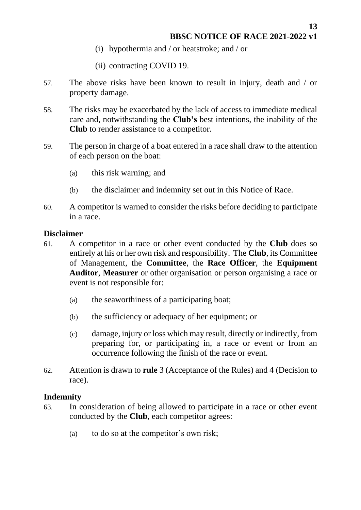**13**

- (i) hypothermia and / or heatstroke; and / or
- (ii) contracting COVID 19.
- 57. The above risks have been known to result in injury, death and / or property damage.
- 58. The risks may be exacerbated by the lack of access to immediate medical care and, notwithstanding the **Club's** best intentions, the inability of the **Club** to render assistance to a competitor.
- 59. The person in charge of a boat entered in a race shall draw to the attention of each person on the boat:
	- (a) this risk warning; and
	- (b) the disclaimer and indemnity set out in this Notice of Race.
- 60. A competitor is warned to consider the risks before deciding to participate in a race.

#### <span id="page-12-0"></span>**Disclaimer**

- 61. A competitor in a race or other event conducted by the **Club** does so entirely at his or her own risk and responsibility. The **Club**, its Committee of Management, the **Committee**, the **Race Officer**, the **Equipment Auditor**, **Measurer** or other organisation or person organising a race or event is not responsible for:
	- (a) the seaworthiness of a participating boat;
	- (b) the sufficiency or adequacy of her equipment; or
	- (c) damage, injury or loss which may result, directly or indirectly, from preparing for, or participating in, a race or event or from an occurrence following the finish of the race or event.
- 62. Attention is drawn to **rule** 3 (Acceptance of the Rules) and 4 (Decision to race).

#### <span id="page-12-1"></span>**Indemnity**

- 63. In consideration of being allowed to participate in a race or other event conducted by the **Club**, each competitor agrees:
	- (a) to do so at the competitor's own risk;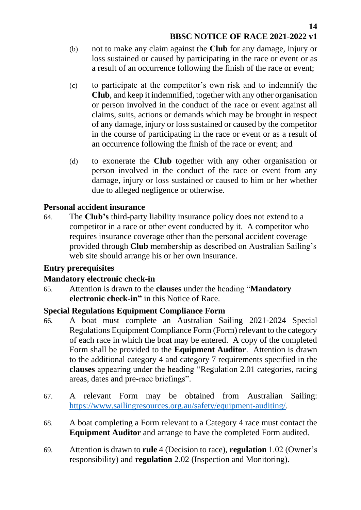- (b) not to make any claim against the **Club** for any damage, injury or loss sustained or caused by participating in the race or event or as a result of an occurrence following the finish of the race or event;
- (c) to participate at the competitor's own risk and to indemnify the **Club**, and keep it indemnified, together with any other organisation or person involved in the conduct of the race or event against all claims, suits, actions or demands which may be brought in respect of any damage, injury or loss sustained or caused by the competitor in the course of participating in the race or event or as a result of an occurrence following the finish of the race or event; and
- (d) to exonerate the **Club** together with any other organisation or person involved in the conduct of the race or event from any damage, injury or loss sustained or caused to him or her whether due to alleged negligence or otherwise.

### <span id="page-13-0"></span>**Personal accident insurance**

64. The **Club's** third-party liability insurance policy does not extend to a competitor in a race or other event conducted by it. A competitor who requires insurance coverage other than the personal accident coverage provided through **Club** membership as described on Australian Sailing's web site should arrange his or her own insurance.

### <span id="page-13-1"></span>**Entry prerequisites**

### <span id="page-13-2"></span>**Mandatory electronic check-in**

65. Attention is drawn to the **clauses** under the heading "**Mandatory electronic check-in"** in this Notice of Race.

## <span id="page-13-3"></span>**Special Regulations Equipment Compliance Form**

- 66. A boat must complete an Australian Sailing 2021-2024 Special Regulations Equipment Compliance Form (Form) relevant to the category of each race in which the boat may be entered. A copy of the completed Form shall be provided to the **Equipment Auditor**. Attention is drawn to the additional category 4 and category 7 requirements specified in the **clauses** appearing under the heading "Regulation 2.01 categories, racing areas, dates and pre-race briefings".
- 67. A relevant Form may be obtained from [Australian](http://the/) Sailing: [https://www.sailingresources.org.au/safety/equipment-auditing/.](https://www.sailingresources.org.au/safety/equipment-auditing/)
- 68. A boat completing a Form relevant to a Category 4 race must contact the **Equipment Auditor** and arrange to have the completed Form audited.
- 69. Attention is drawn to **rule** 4 (Decision to race), **regulation** 1.02 (Owner's responsibility) and **regulation** 2.02 (Inspection and Monitoring).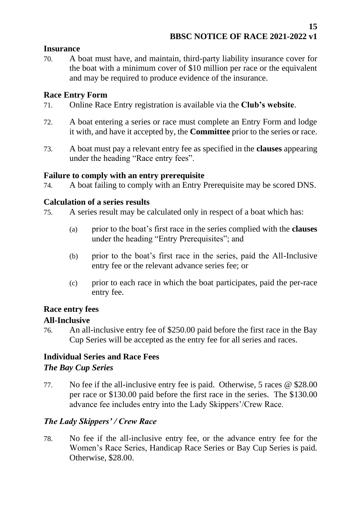### <span id="page-14-0"></span>**Insurance**

70. A boat must have, and maintain, third-party liability insurance cover for the boat with a minimum cover of \$10 million per race or the equivalent and may be required to produce evidence of the insurance.

### <span id="page-14-1"></span>**Race Entry Form**

- 71. Online Race Entry registration is available via the **Club's website**.
- 72. A boat entering a series or race must complete an Entry Form and lodge it with, and have it accepted by, the **Committee** prior to the series or race.
- 73. A boat must pay a relevant entry fee as specified in the **clauses** appearing under the heading "Race entry fees".

#### <span id="page-14-2"></span>**Failure to comply with an entry prerequisite**

74. A boat failing to comply with an Entry Prerequisite may be scored DNS.

#### <span id="page-14-3"></span>**Calculation of a series results**

75. A series result may be calculated only in respect of a boat which has:

- (a) prior to the boat's first race in the series complied with the **clauses** under the heading "Entry Prerequisites"; and
- (b) prior to the boat's first race in the series, paid the All-Inclusive entry fee or the relevant advance series fee; or
- (c) prior to each race in which the boat participates, paid the per-race entry fee.

## <span id="page-14-4"></span>**Race entry fees**

### <span id="page-14-5"></span>**All-Inclusive**

76. An all-inclusive entry fee of \$250.00 paid before the first race in the Bay Cup Series will be accepted as the entry fee for all series and races.

## <span id="page-14-6"></span>**Individual Series and Race Fees** *The Bay Cup Series*

77. No fee if the all-inclusive entry fee is paid. Otherwise, 5 races @ \$28.00 per race or \$130.00 paid before the first race in the series. The \$130.00 advance fee includes entry into the Lady Skippers'/Crew Race.

### *The Lady Skippers' / Crew Race*

78. No fee if the all-inclusive entry fee, or the advance entry fee for the Women's Race Series, Handicap Race Series or Bay Cup Series is paid. Otherwise, \$28.00.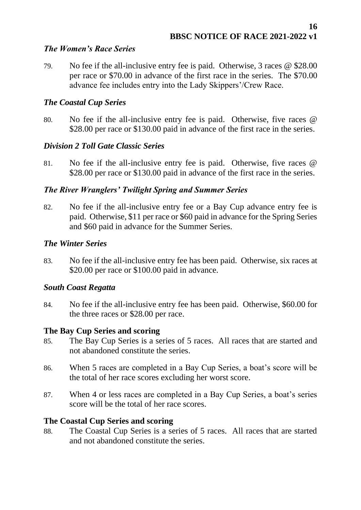#### *The Women's Race Series*

79. No fee if the all-inclusive entry fee is paid. Otherwise, 3 races @ \$28.00 per race or \$70.00 in advance of the first race in the series. The \$70.00 advance fee includes entry into the Lady Skippers'/Crew Race.

### *The Coastal Cup Series*

80. No fee if the all-inclusive entry fee is paid. Otherwise, five races @ \$28.00 per race or \$130.00 paid in advance of the first race in the series.

### *Division 2 Toll Gate Classic Series*

81. No fee if the all-inclusive entry fee is paid. Otherwise, five races @ \$28.00 per race or \$130.00 paid in advance of the first race in the series.

### *The River Wranglers' Twilight Spring and Summer Series*

82. No fee if the all-inclusive entry fee or a Bay Cup advance entry fee is paid. Otherwise, \$11 per race or \$60 paid in advance for the Spring Series and \$60 paid in advance for the Summer Series.

### *The Winter Series*

83. No fee if the all-inclusive entry fee has been paid. Otherwise, six races at \$20.00 per race or \$100.00 paid in advance.

### *South Coast Regatta*

84. No fee if the all-inclusive entry fee has been paid. Otherwise, \$60.00 for the three races or \$28.00 per race.

### <span id="page-15-0"></span>**The Bay Cup Series and scoring**

- 85. The Bay Cup Series is a series of 5 races. All races that are started and not abandoned constitute the series.
- 86. When 5 races are completed in a Bay Cup Series, a boat's score will be the total of her race scores excluding her worst score.
- 87. When 4 or less races are completed in a Bay Cup Series, a boat's series score will be the total of her race scores.

### <span id="page-15-1"></span>**The Coastal Cup Series and scoring**

88. The Coastal Cup Series is a series of 5 races. All races that are started and not abandoned constitute the series.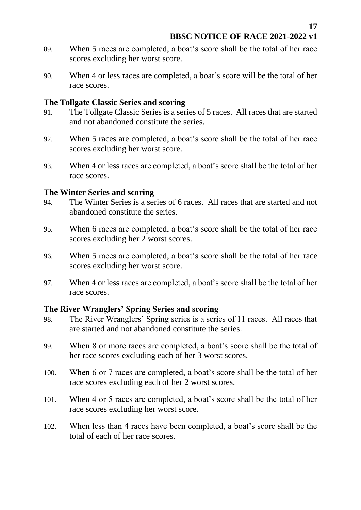- 89. When 5 races are completed, a boat's score shall be the total of her race scores excluding her worst score.
- 90. When 4 or less races are completed, a boat's score will be the total of her race scores.

#### <span id="page-16-0"></span>**The Tollgate Classic Series and scoring**

- 91. The Tollgate Classic Series is a series of 5 races. All races that are started and not abandoned constitute the series.
- 92. When 5 races are completed, a boat's score shall be the total of her race scores excluding her worst score.
- 93. When 4 or less races are completed, a boat's score shall be the total of her race scores.

### <span id="page-16-1"></span>**The Winter Series and scoring**

- 94. The Winter Series is a series of 6 races. All races that are started and not abandoned constitute the series.
- 95. When 6 races are completed, a boat's score shall be the total of her race scores excluding her 2 worst scores.
- 96. When 5 races are completed, a boat's score shall be the total of her race scores excluding her worst score.
- 97. When 4 or less races are completed, a boat's score shall be the total of her race scores.

### <span id="page-16-2"></span>**The River Wranglers' Spring Series and scoring**

- 98. The River Wranglers' Spring series is a series of 11 races. All races that are started and not abandoned constitute the series.
- 99. When 8 or more races are completed, a boat's score shall be the total of her race scores excluding each of her 3 worst scores.
- 100. When 6 or 7 races are completed, a boat's score shall be the total of her race scores excluding each of her 2 worst scores.
- 101. When 4 or 5 races are completed, a boat's score shall be the total of her race scores excluding her worst score.
- 102. When less than 4 races have been completed, a boat's score shall be the total of each of her race scores.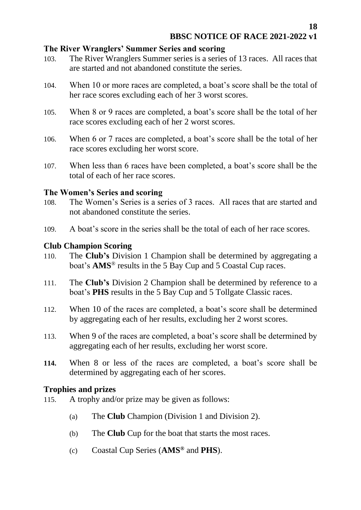#### <span id="page-17-0"></span>**The River Wranglers' Summer Series and scoring**

- 103. The River Wranglers Summer series is a series of 13 races. All races that are started and not abandoned constitute the series.
- 104. When 10 or more races are completed, a boat's score shall be the total of her race scores excluding each of her 3 worst scores.
- 105. When 8 or 9 races are completed, a boat's score shall be the total of her race scores excluding each of her 2 worst scores.
- 106. When 6 or 7 races are completed, a boat's score shall be the total of her race scores excluding her worst score.
- 107. When less than 6 races have been completed, a boat's score shall be the total of each of her race scores.

#### <span id="page-17-1"></span>**The Women's Series and scoring**

- 108. The Women's Series is a series of 3 races. All races that are started and not abandoned constitute the series.
- 109. A boat's score in the series shall be the total of each of her race scores.

#### <span id="page-17-2"></span>**Club Champion Scoring**

- 110. The **Club's** Division 1 Champion shall be determined by aggregating a boat's **AMS**® results in the 5 Bay Cup and 5 Coastal Cup races.
- 111. The **Club's** Division 2 Champion shall be determined by reference to a boat's **PHS** results in the 5 Bay Cup and 5 Tollgate Classic races.
- 112. When 10 of the races are completed, a boat's score shall be determined by aggregating each of her results, excluding her 2 worst scores.
- 113. When 9 of the races are completed, a boat's score shall be determined by aggregating each of her results, excluding her worst score.
- **114.** When 8 or less of the races are completed, a boat's score shall be determined by aggregating each of her scores.

### <span id="page-17-3"></span>**Trophies and prizes**

- 115. A trophy and/or prize may be given as follows:
	- (a) The **Club** Champion (Division 1 and Division 2).
	- (b) The **Club** Cup for the boat that starts the most races.
	- (c) Coastal Cup Series (**AMS®** and **PHS**).